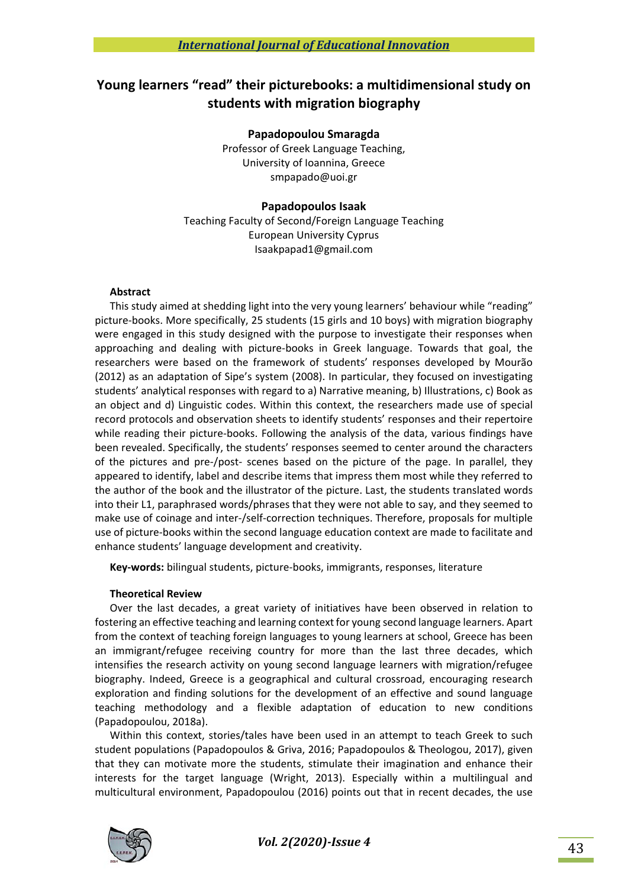# **Young learners "read" their picturebooks: a multidimensional study on students with migration biography**

#### **Papadopoulou Smaragda**

Professor of Greek Language Teaching, University of Ioannina, Greece smpapado@uoi.gr

## **Papadopoulos Isaak**

Teaching Faculty of Second/Foreign Language Teaching European University Cyprus Isaakpapad1@gmail.com

## **Abstract**

This study aimed at shedding light into the very young learners' behaviour while "reading" picture‐books. More specifically, 25 students (15 girls and 10 boys) with migration biography were engaged in this study designed with the purpose to investigate their responses when approaching and dealing with picture‐books in Greek language. Towards that goal, the researchers were based on the framework of students' responses developed by Mourão (2012) as an adaptation of Sipe's system (2008). In particular, they focused on investigating students' analytical responses with regard to a) Narrative meaning, b) Illustrations, c) Book as an object and d) Linguistic codes. Within this context, the researchers made use of special record protocols and observation sheets to identify students' responses and their repertoire while reading their picture-books. Following the analysis of the data, various findings have been revealed. Specifically, the students' responses seemed to center around the characters of the pictures and pre-/post- scenes based on the picture of the page. In parallel, they appeared to identify, label and describe items that impress them most while they referred to the author of the book and the illustrator of the picture. Last, the students translated words into their L1, paraphrased words/phrases that they were not able to say, and they seemed to make use of coinage and inter‐/self‐correction techniques. Therefore, proposals for multiple use of picture‐books within the second language education context are made to facilitate and enhance students' language development and creativity.

**Key‐words:** bilingual students, picture‐books, immigrants, responses, literature

# **Theoretical Review**

Over the last decades, a great variety of initiatives have been observed in relation to fostering an effective teaching and learning context for young second language learners. Apart from the context of teaching foreign languages to young learners at school, Greece has been an immigrant/refugee receiving country for more than the last three decades, which intensifies the research activity on young second language learners with migration/refugee biography. Indeed, Greece is a geographical and cultural crossroad, encouraging research exploration and finding solutions for the development of an effective and sound language teaching methodology and a flexible adaptation of education to new conditions (Papadopoulou, 2018a).

Within this context, stories/tales have been used in an attempt to teach Greek to such student populations (Papadopoulos & Griva, 2016; Papadopoulos & Theologou, 2017), given that they can motivate more the students, stimulate their imagination and enhance their interests for the target language (Wright, 2013). Especially within a multilingual and multicultural environment, Papadopoulou (2016) points out that in recent decades, the use

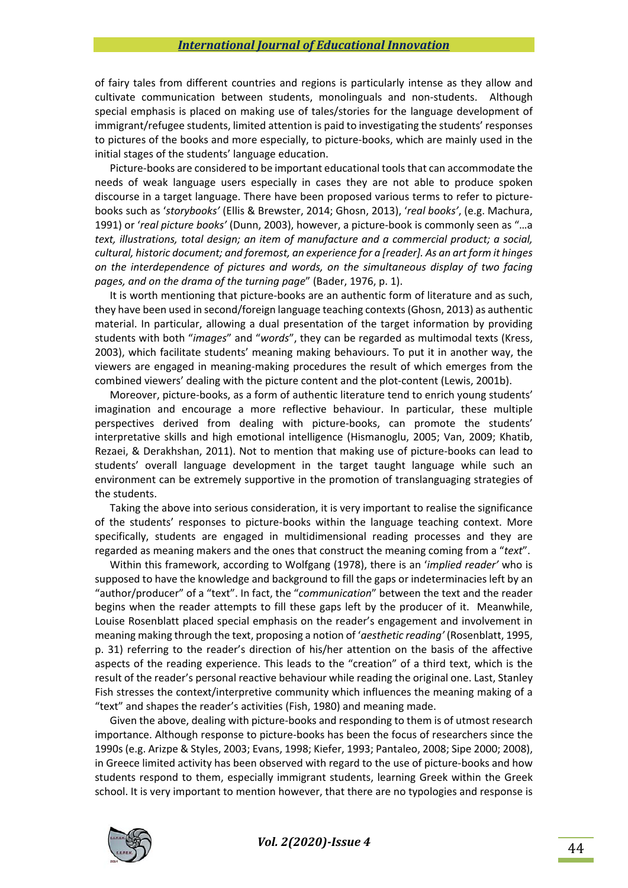of fairy tales from different countries and regions is particularly intense as they allow and cultivate communication between students, monolinguals and non‐students. Although special emphasis is placed on making use of tales/stories for the language development of immigrant/refugee students, limited attention is paid to investigating the students' responses to pictures of the books and more especially, to picture-books, which are mainly used in the initial stages of the students' language education.

Picture‐books are considered to be important educational tools that can accommodate the needs of weak language users especially in cases they are not able to produce spoken discourse in a target language. There have been proposed various terms to refer to picture‐ books such as '*storybooks'* (Ellis & Brewster, 2014; Ghosn, 2013), '*real books'*, (e.g. Machura, 1991) or '*real picture books'* (Dunn, 2003), however, a picture‐book is commonly seen as "…a *text, illustrations, total design; an item of manufacture and a commercial product; a social, cultural, historic document; and foremost, an experience for a [reader]. As an art form it hinges on the interdependence of pictures and words, on the simultaneous display of two facing pages, and on the drama of the turning page*" (Bader, 1976, p. 1).

It is worth mentioning that picture-books are an authentic form of literature and as such, they have been used in second/foreign language teaching contexts (Ghosn, 2013) as authentic material. In particular, allowing a dual presentation of the target information by providing students with both "*images*" and "*words*", they can be regarded as multimodal texts (Kress, 2003), which facilitate students' meaning making behaviours. To put it in another way, the viewers are engaged in meaning‐making procedures the result of which emerges from the combined viewers' dealing with the picture content and the plot-content (Lewis, 2001b).

Moreover, picture-books, as a form of authentic literature tend to enrich young students' imagination and encourage a more reflective behaviour. In particular, these multiple perspectives derived from dealing with picture‐books, can promote the students' interpretative skills and high emotional intelligence (Hismanoglu, 2005; Van, 2009; Khatib, Rezaei, & Derakhshan, 2011). Not to mention that making use of picture-books can lead to students' overall language development in the target taught language while such an environment can be extremely supportive in the promotion of translanguaging strategies of the students.

Taking the above into serious consideration, it is very important to realise the significance of the students' responses to picture‐books within the language teaching context. More specifically, students are engaged in multidimensional reading processes and they are regarded as meaning makers and the ones that construct the meaning coming from a "*text*".

Within this framework, according to Wolfgang (1978), there is an '*implied reader'* who is supposed to have the knowledge and background to fill the gaps or indeterminacies left by an "author/producer" of a "text". In fact, the "*communication*" between the text and the reader begins when the reader attempts to fill these gaps left by the producer of it. Meanwhile, Louise Rosenblatt placed special emphasis on the reader's engagement and involvement in meaning making through the text, proposing a notion of '*aesthetic reading'* (Rosenblatt, 1995, p. 31) referring to the reader's direction of his/her attention on the basis of the affective aspects of the reading experience. This leads to the "creation" of a third text, which is the result of the reader's personal reactive behaviour while reading the original one. Last, Stanley Fish stresses the context/interpretive community which influences the meaning making of a "text" and shapes the reader's activities (Fish, 1980) and meaning made.

Given the above, dealing with picture-books and responding to them is of utmost research importance. Although response to picture‐books has been the focus of researchers since the 1990s (e.g. Arizpe & Styles, 2003; Evans, 1998; Kiefer, 1993; Pantaleo, 2008; Sipe 2000; 2008), in Greece limited activity has been observed with regard to the use of picture-books and how students respond to them, especially immigrant students, learning Greek within the Greek school. It is very important to mention however, that there are no typologies and response is

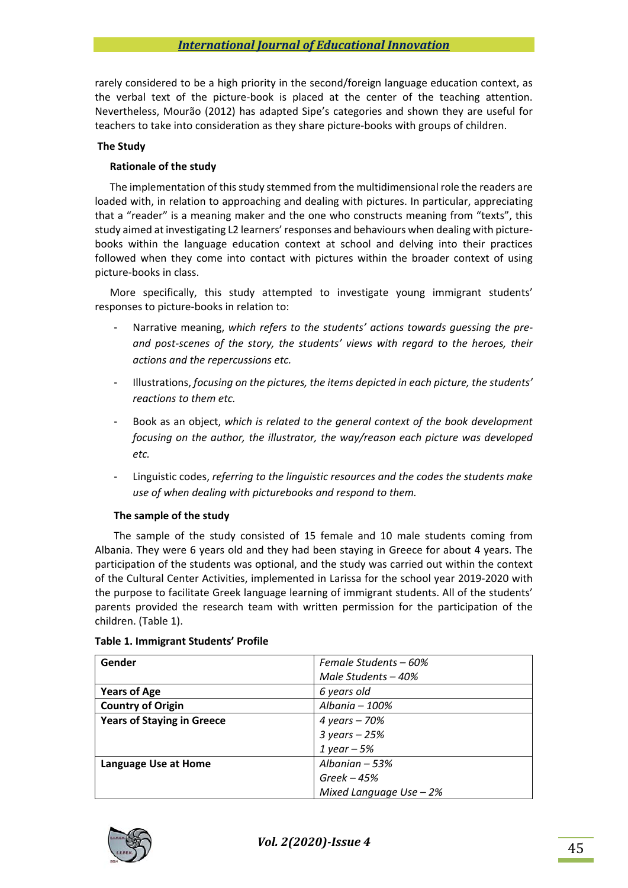rarely considered to be a high priority in the second/foreign language education context, as the verbal text of the picture-book is placed at the center of the teaching attention. Nevertheless, Mourão (2012) has adapted Sipe's categories and shown they are useful for teachers to take into consideration as they share picture‐books with groups of children.

## **The Study**

## **Rationale of the study**

The implementation of this study stemmed from the multidimensional role the readers are loaded with, in relation to approaching and dealing with pictures. In particular, appreciating that a "reader" is a meaning maker and the one who constructs meaning from "texts", this study aimed at investigating L2 learners' responses and behaviours when dealing with picture‐ books within the language education context at school and delving into their practices followed when they come into contact with pictures within the broader context of using picture‐books in class.

More specifically, this study attempted to investigate young immigrant students' responses to picture‐books in relation to:

- Narrative meaning, *which refers to the students' actions towards guessing the pre‐ and post‐scenes of the story, the students' views with regard to the heroes, their actions and the repercussions etc.*
- Illustrations, *focusing on the pictures, the items depicted in each picture, the students' reactions to them etc.*
- Book as an object, *which is related to the general context of the book development focusing on the author, the illustrator, the way/reason each picture was developed etc.*
- Linguistic codes, *referring to the linguistic resources and the codes the students make use of when dealing with picturebooks and respond to them.*

## **The sample of the study**

The sample of the study consisted of 15 female and 10 male students coming from Albania. They were 6 years old and they had been staying in Greece for about 4 years. The participation of the students was optional, and the study was carried out within the context of the Cultural Center Activities, implemented in Larissa for the school year 2019‐2020 with the purpose to facilitate Greek language learning of immigrant students. All of the students' parents provided the research team with written permission for the participation of the children. (Table 1).

| Gender                            | Female Students – 60%     |
|-----------------------------------|---------------------------|
|                                   | Male Students $-40%$      |
| <b>Years of Age</b>               | 6 years old               |
| <b>Country of Origin</b>          | Albania - 100%            |
| <b>Years of Staying in Greece</b> | 4 years – 70%             |
|                                   | $3 \text{ years} - 25\%$  |
|                                   | 1 year $-5%$              |
| Language Use at Home              | Albanian $-53%$           |
|                                   | $Greek - 45%$             |
|                                   | Mixed Language Use $-2\%$ |

# **Table 1. Immigrant Students' Profile**

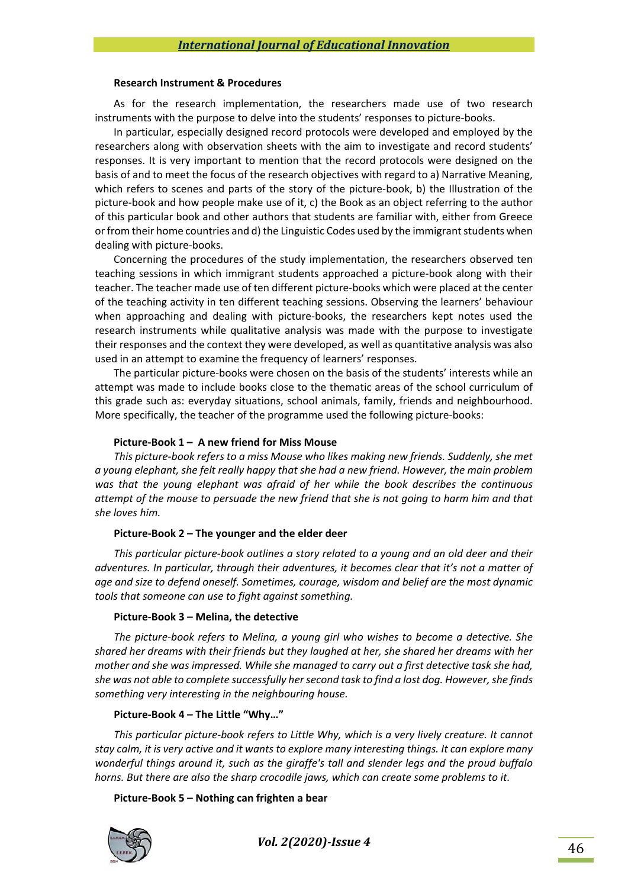#### **Research Instrument & Procedures**

As for the research implementation, the researchers made use of two research instruments with the purpose to delve into the students' responses to picture‐books.

In particular, especially designed record protocols were developed and employed by the researchers along with observation sheets with the aim to investigate and record students' responses. It is very important to mention that the record protocols were designed on the basis of and to meet the focus of the research objectives with regard to a) Narrative Meaning, which refers to scenes and parts of the story of the picture-book, b) the Illustration of the picture‐book and how people make use of it, c) the Book as an object referring to the author of this particular book and other authors that students are familiar with, either from Greece or from their home countries and d) the Linguistic Codes used by the immigrant students when dealing with picture‐books.

Concerning the procedures of the study implementation, the researchers observed ten teaching sessions in which immigrant students approached a picture-book along with their teacher. The teacher made use of ten different picture‐books which were placed at the center of the teaching activity in ten different teaching sessions. Observing the learners' behaviour when approaching and dealing with picture-books, the researchers kept notes used the research instruments while qualitative analysis was made with the purpose to investigate their responses and the context they were developed, as well as quantitative analysis was also used in an attempt to examine the frequency of learners' responses.

The particular picture‐books were chosen on the basis of the students' interests while an attempt was made to include books close to the thematic areas of the school curriculum of this grade such as: everyday situations, school animals, family, friends and neighbourhood. More specifically, the teacher of the programme used the following picture-books:

## **Picture‐Book 1 – A new friend for Miss Mouse**

*This picture‐book refers to a miss Mouse who likes making new friends. Suddenly, she met a young elephant, she felt really happy that she had a new friend. However, the main problem was that the young elephant was afraid of her while the book describes the continuous attempt of the mouse to persuade the new friend that she is not going to harm him and that she loves him.* 

## **Picture‐Book 2 – The younger and the elder deer**

*This particular picture‐book outlines a story related to a young and an old deer and their adventures. In particular, through their adventures, it becomes clear that it's not a matter of age and size to defend oneself. Sometimes, courage, wisdom and belief are the most dynamic tools that someone can use to fight against something.* 

## **Picture‐Book 3 – Melina, the detective**

*The picture‐book refers to Melina, a young girl who wishes to become a detective. She shared her dreams with their friends but they laughed at her, she shared her dreams with her mother and she was impressed. While she managed to carry out a first detective task she had, she was not able to complete successfully her second task to find a lost dog. However, she finds something very interesting in the neighbouring house.* 

# **Picture‐Book 4 – The Little "Why…"**

*This particular picture‐book refers to Little Why, which is a very lively creature. It cannot stay calm, it is very active and it wants to explore many interesting things. It can explore many wonderful things around it, such as the giraffe's tall and slender legs and the proud buffalo horns. But there are also the sharp crocodile jaws, which can create some problems to it.* 

## **Picture‐Book 5 – Nothing can frighten a bear**

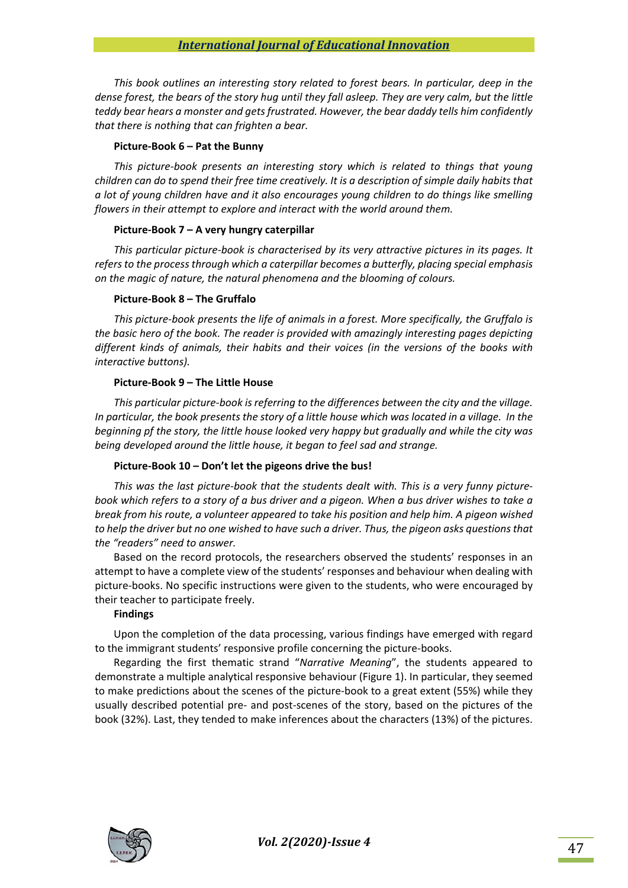*This book outlines an interesting story related to forest bears. In particular, deep in the dense forest, the bears of the story hug until they fall asleep. They are very calm, but the little teddy bear hears a monster and gets frustrated. However, the bear daddy tells him confidently that there is nothing that can frighten a bear.* 

#### **Picture‐Book 6 – Pat the Bunny**

*This picture‐book presents an interesting story which is related to things that young children can do to spend their free time creatively. It is a description of simple daily habits that a lot of young children have and it also encourages young children to do things like smelling flowers in their attempt to explore and interact with the world around them.* 

#### **Picture‐Book 7 – A very hungry caterpillar**

*This particular picture‐book is characterised by its very attractive pictures in its pages. It refers to the process through which a caterpillar becomes a butterfly, placing special emphasis on the magic of nature, the natural phenomena and the blooming of colours.* 

#### **Picture‐Book 8 – The Gruffalo**

*This picture‐book presents the life of animals in a forest. More specifically, the Gruffalo is the basic hero of the book. The reader is provided with amazingly interesting pages depicting different kinds of animals, their habits and their voices (in the versions of the books with interactive buttons).* 

#### **Picture‐Book 9 – The Little House**

*This particular picture‐book is referring to the differences between the city and the village. In particular, the book presents the story of a little house which was located in a village. In the beginning pf the story, the little house looked very happy but gradually and while the city was being developed around the little house, it began to feel sad and strange.* 

#### **Picture‐Book 10 – Don't let the pigeons drive the bus!**

*This was the last picture‐book that the students dealt with. This is a very funny picture‐ book which refers to a story of a bus driver and a pigeon. When a bus driver wishes to take a break from his route, a volunteer appeared to take his position and help him. A pigeon wished to help the driver but no one wished to have such a driver. Thus, the pigeon asks questions that the "readers" need to answer.* 

Based on the record protocols, the researchers observed the students' responses in an attempt to have a complete view of the students' responses and behaviour when dealing with picture‐books. No specific instructions were given to the students, who were encouraged by their teacher to participate freely.

#### **Findings**

Upon the completion of the data processing, various findings have emerged with regard to the immigrant students' responsive profile concerning the picture‐books.

Regarding the first thematic strand "*Narrative Meaning*", the students appeared to demonstrate a multiple analytical responsive behaviour (Figure 1). In particular, they seemed to make predictions about the scenes of the picture‐book to a great extent (55%) while they usually described potential pre‐ and post‐scenes of the story, based on the pictures of the book (32%). Last, they tended to make inferences about the characters (13%) of the pictures.

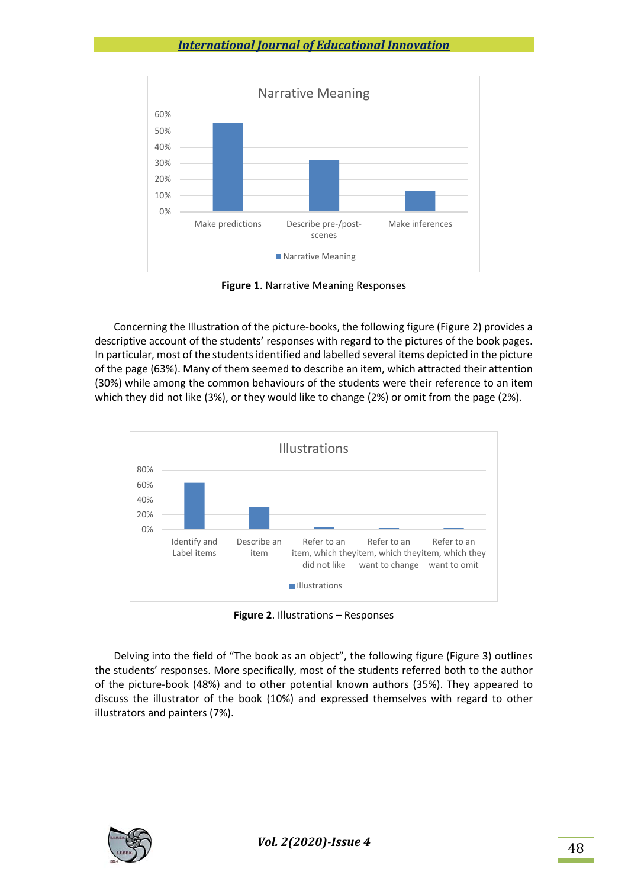

**Figure 1**. Narrative Meaning Responses

Concerning the Illustration of the picture‐books, the following figure (Figure 2) provides a descriptive account of the students' responses with regard to the pictures of the book pages. In particular, most of the students identified and labelled several items depicted in the picture of the page (63%). Many of them seemed to describe an item, which attracted their attention (30%) while among the common behaviours of the students were their reference to an item which they did not like (3%), or they would like to change (2%) or omit from the page (2%).



**Figure 2**. Illustrations – Responses

Delving into the field of "The book as an object", the following figure (Figure 3) outlines the students' responses. More specifically, most of the students referred both to the author of the picture‐book (48%) and to other potential known authors (35%). They appeared to discuss the illustrator of the book (10%) and expressed themselves with regard to other illustrators and painters (7%).

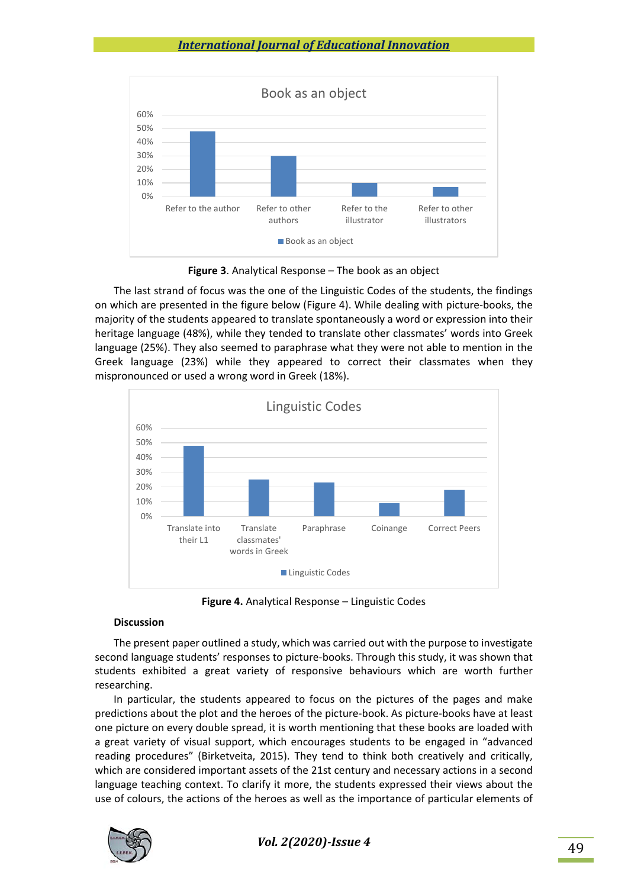

**Figure 3**. Analytical Response – The book as an object

The last strand of focus was the one of the Linguistic Codes of the students, the findings on which are presented in the figure below (Figure 4). While dealing with picture‐books, the majority of the students appeared to translate spontaneously a word or expression into their heritage language (48%), while they tended to translate other classmates' words into Greek language (25%). They also seemed to paraphrase what they were not able to mention in the Greek language (23%) while they appeared to correct their classmates when they mispronounced or used a wrong word in Greek (18%).



**Figure 4.** Analytical Response – Linguistic Codes

# **Discussion**

The present paper outlined a study, which was carried out with the purpose to investigate second language students' responses to picture‐books. Through this study, it was shown that students exhibited a great variety of responsive behaviours which are worth further researching.

In particular, the students appeared to focus on the pictures of the pages and make predictions about the plot and the heroes of the picture‐book. As picture‐books have at least one picture on every double spread, it is worth mentioning that these books are loaded with a great variety of visual support, which encourages students to be engaged in "advanced reading procedures" (Birketveita, 2015). They tend to think both creatively and critically, which are considered important assets of the 21st century and necessary actions in a second language teaching context. To clarify it more, the students expressed their views about the use of colours, the actions of the heroes as well as the importance of particular elements of

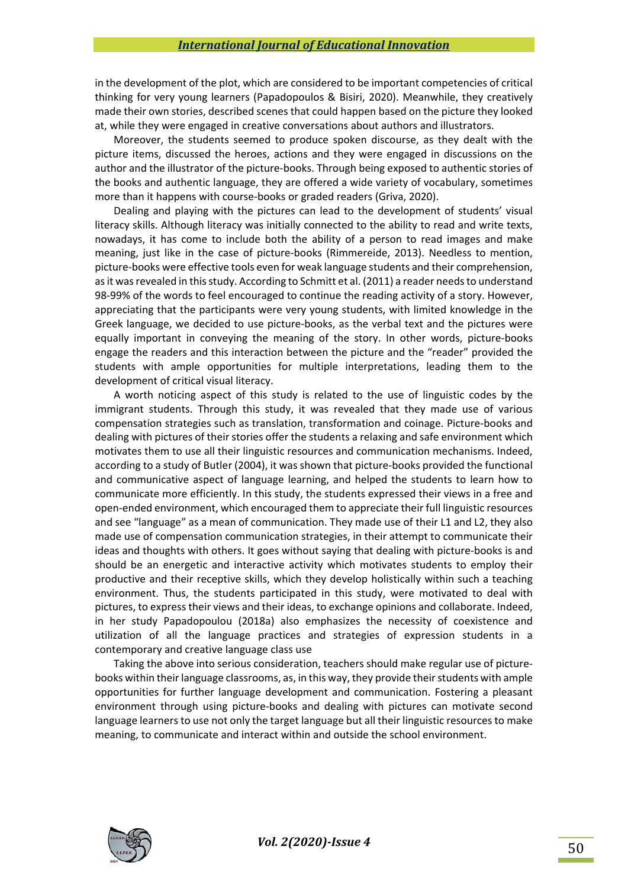in the development of the plot, which are considered to be important competencies of critical thinking for very young learners (Papadopoulos & Bisiri, 2020). Meanwhile, they creatively made their own stories, described scenes that could happen based on the picture they looked at, while they were engaged in creative conversations about authors and illustrators.

Moreover, the students seemed to produce spoken discourse, as they dealt with the picture items, discussed the heroes, actions and they were engaged in discussions on the author and the illustrator of the picture‐books. Through being exposed to authentic stories of the books and authentic language, they are offered a wide variety of vocabulary, sometimes more than it happens with course‐books or graded readers (Griva, 2020).

Dealing and playing with the pictures can lead to the development of students' visual literacy skills. Although literacy was initially connected to the ability to read and write texts, nowadays, it has come to include both the ability of a person to read images and make meaning, just like in the case of picture-books (Rimmereide, 2013). Needless to mention, picture‐books were effective tools even for weak language students and their comprehension, as it was revealed in this study. According to Schmitt et al. (2011) a reader needs to understand 98‐99% of the words to feel encouraged to continue the reading activity of a story. However, appreciating that the participants were very young students, with limited knowledge in the Greek language, we decided to use picture‐books, as the verbal text and the pictures were equally important in conveying the meaning of the story. In other words, picture-books engage the readers and this interaction between the picture and the "reader" provided the students with ample opportunities for multiple interpretations, leading them to the development of critical visual literacy.

A worth noticing aspect of this study is related to the use of linguistic codes by the immigrant students. Through this study, it was revealed that they made use of various compensation strategies such as translation, transformation and coinage. Picture‐books and dealing with pictures of their stories offer the students a relaxing and safe environment which motivates them to use all their linguistic resources and communication mechanisms. Indeed, according to a study of Butler (2004), it was shown that picture‐books provided the functional and communicative aspect of language learning, and helped the students to learn how to communicate more efficiently. In this study, the students expressed their views in a free and open‐ended environment, which encouraged them to appreciate their full linguistic resources and see "language" as a mean of communication. They made use of their L1 and L2, they also made use of compensation communication strategies, in their attempt to communicate their ideas and thoughts with others. It goes without saying that dealing with picture-books is and should be an energetic and interactive activity which motivates students to employ their productive and their receptive skills, which they develop holistically within such a teaching environment. Thus, the students participated in this study, were motivated to deal with pictures, to express their views and their ideas, to exchange opinions and collaborate. Indeed, in her study Papadopoulou (2018a) also emphasizes the necessity of coexistence and utilization of all the language practices and strategies of expression students in a contemporary and creative language class use

Taking the above into serious consideration, teachers should make regular use of picture‐ books within their language classrooms, as, in this way, they provide their students with ample opportunities for further language development and communication. Fostering a pleasant environment through using picture-books and dealing with pictures can motivate second language learners to use not only the target language but all their linguistic resources to make meaning, to communicate and interact within and outside the school environment.

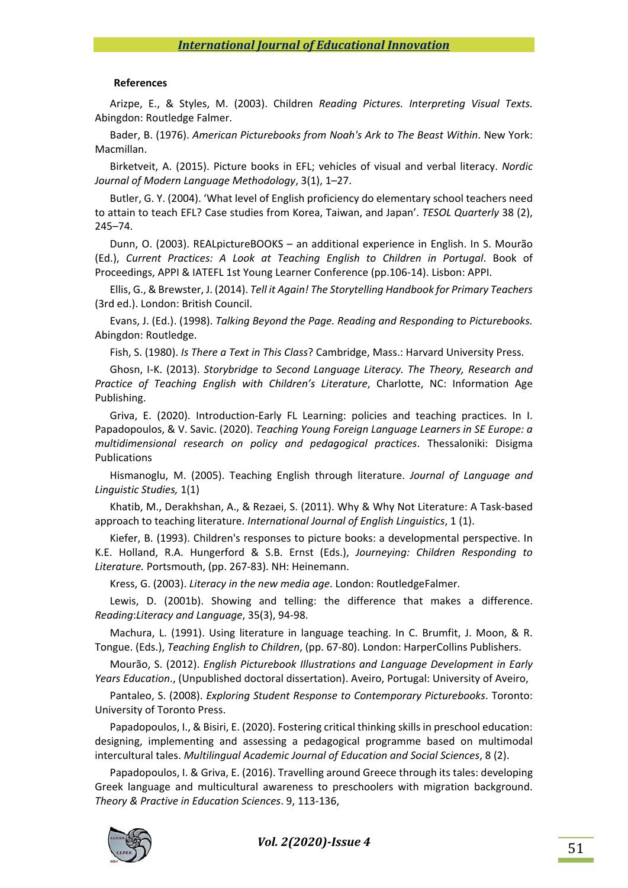#### **References**

Arizpe, E., & Styles, M. (2003). Children *Reading Pictures. Interpreting Visual Texts.*  Abingdon: Routledge Falmer.

Bader, B. (1976). *American Picturebooks from Noah's Ark to The Beast Within*. New York: Macmillan.

Birketveit, A. (2015). Picture books in EFL; vehicles of visual and verbal literacy. *Nordic Journal of Modern Language Methodology*, 3(1), 1–27.

Butler, G. Y. (2004). 'What level of English proficiency do elementary school teachers need to attain to teach EFL? Case studies from Korea, Taiwan, and Japan'. *TESOL Quarterly* 38 (2), 245–74.

Dunn, O. (2003). REALpictureBOOKS – an additional experience in English. In S. Mourão (Ed.), *Current Practices: A Look at Teaching English to Children in Portugal*. Book of Proceedings, APPI & IATEFL 1st Young Learner Conference (pp.106‐14). Lisbon: APPI.

Ellis, G., & Brewster, J. (2014). *Tell it Again! The Storytelling Handbook for Primary Teachers* (3rd ed.). London: British Council.

Evans, J. (Ed.). (1998). *Talking Beyond the Page. Reading and Responding to Picturebooks.*  Abingdon: Routledge.

Fish, S. (1980). *Is There a Text in This Class*? Cambridge, Mass.: Harvard University Press.

Ghosn, I‐K. (2013). *Storybridge to Second Language Literacy. The Theory, Research and Practice of Teaching English with Children's Literature*, Charlotte, NC: Information Age Publishing.

Griva, E. (2020). Introduction-Early FL Learning: policies and teaching practices. In I. Papadopoulos, & V. Savic. (2020). *Teaching Young Foreign Language Learners in SE Europe: a multidimensional research on policy and pedagogical practices*. Thessaloniki: Disigma Publications

Hismanoglu, M. (2005). Teaching English through literature. *Journal of Language and Linguistic Studies,* 1(1)

Khatib, M., Derakhshan, A., & Rezaei, S. (2011). Why & Why Not Literature: A Task‐based approach to teaching literature. *International Journal of English Linguistics*, 1 (1).

Kiefer, B. (1993). Children's responses to picture books: a developmental perspective. In K.E. Holland, R.A. Hungerford & S.B. Ernst (Eds.), *Journeying: Children Responding to Literature.* Portsmouth, (pp. 267‐83). NH: Heinemann.

Kress, G. (2003). *Literacy in the new media age*. London: RoutledgeFalmer.

Lewis, D. (2001b). Showing and telling: the difference that makes a difference. *Reading*:*Literacy and Language*, 35(3), 94‐98.

Machura, L. (1991). Using literature in language teaching. In C. Brumfit, J. Moon, & R. Tongue. (Eds.), *Teaching English to Children*, (pp. 67‐80). London: HarperCollins Publishers.

Mourão, S. (2012). *English Picturebook Illustrations and Language Development in Early Years Education*., (Unpublished doctoral dissertation). Aveiro, Portugal: University of Aveiro,

Pantaleo, S. (2008). *Exploring Student Response to Contemporary Picturebooks*. Toronto: University of Toronto Press.

Papadopoulos, I., & Bisiri, E. (2020). Fostering critical thinking skills in preschool education: designing, implementing and assessing a pedagogical programme based on multimodal intercultural tales. *Multilingual Academic Journal of Education and Social Sciences*, 8 (2).

Papadopoulos, I. & Griva, E. (2016). Travelling around Greece through its tales: developing Greek language and multicultural awareness to preschoolers with migration background. *Theory & Practive in Education Sciences*. 9, 113‐136,